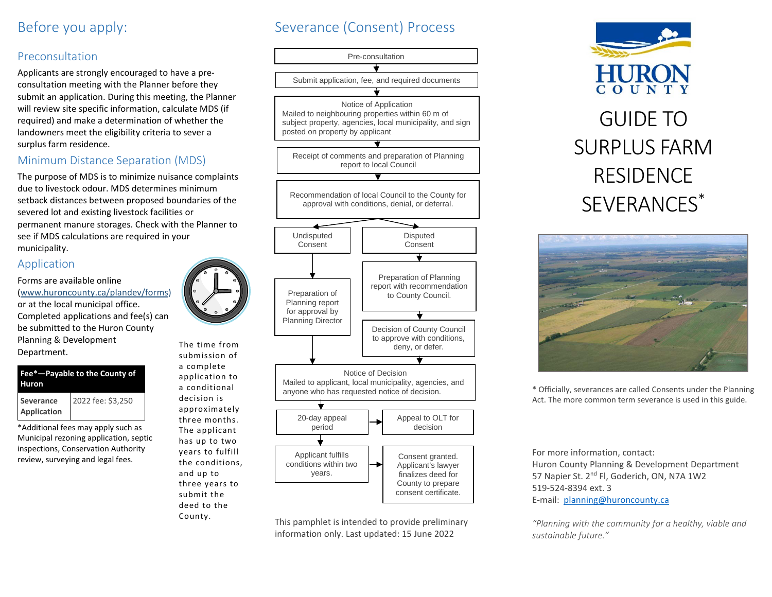## Before you apply:

## Preconsultation

Applicants are strongly encouraged to have a preconsultation meeting with the Planner before they submit an application. During this meeting, the Planner will review site specific information, calculate MDS (if required) and make a determination of whether the landowners meet the eligibility criteria to sever a surplus farm residence.

### Minimum Distance Separation (MDS)

The purpose of MDS is to minimize nuisance complaints due to livestock odour. MDS determines minimum setback distances between proposed boundaries of the severed lot and existing livestock facilities or permanent manure storages. Check with the Planner to see if MDS calculations are required in your municipality.

### Application

Forms are available online [\(www.huroncounty.ca/plandev/forms\)](http://www.huroncounty.ca/plandev/forms) or at the local municipal office. Completed applications and fee(s) can be submitted to the Huron County Planning & Development Department.



\*Additional fees may apply such as Municipal rezoning application, septic inspections, Conservation Authority review, surveying and legal fees.



submission of a complete application to a conditional decision is approximately three months. The applicant has up to two years to fulfill the conditions, and up to three years to submit the deed to the County.





This pamphlet is intended to provide preliminary information only. Last updated: 15 June 2022





\* Officially, severances are called Consents under the Planning Act. The more common term severance is used in this guide.

For more information, contact: Huron County Planning & Development Department 57 Napier St. 2<sup>nd</sup> Fl, Goderich, ON, N7A 1W2 519-524-8394 ext. 3 E-mail: [planning@huroncounty.ca](mailto:planning@huroncounty.ca)

*"Planning with the community for a healthy, viable and sustainable future."*